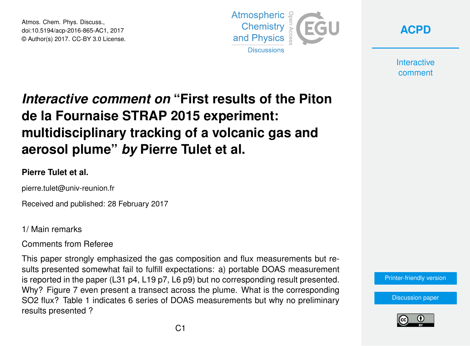Atmos. Chem. Phys. Discuss., doi:10.5194/acp-2016-865-AC1, 2017 © Author(s) 2017. CC-BY 3.0 License.





**Interactive** comment

# *Interactive comment on* **"First results of the Piton de la Fournaise STRAP 2015 experiment: multidisciplinary tracking of a volcanic gas and aerosol plume"** *by* **Pierre Tulet et al.**

### **Pierre Tulet et al.**

pierre.tulet@univ-reunion.fr

Received and published: 28 February 2017

1/ Main remarks

Comments from Referee

This paper strongly emphasized the gas composition and flux measurements but results presented somewhat fail to fulfill expectations: a) portable DOAS measurement is reported in the paper (L31 p4, L19 p7, L6 p9) but no corresponding result presented. Why? Figure 7 even present a transect across the plume. What is the corresponding SO2 flux? Table 1 indicates 6 series of DOAS measurements but why no preliminary results presented ?



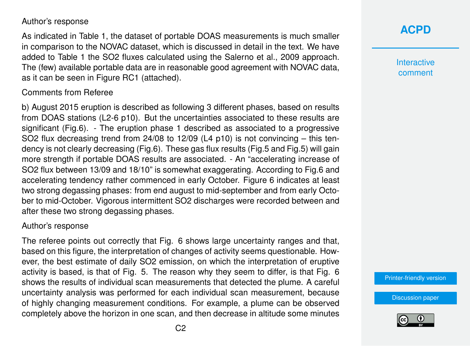#### Author's response

As indicated in Table 1, the dataset of portable DOAS measurements is much smaller in comparison to the NOVAC dataset, which is discussed in detail in the text. We have added to Table 1 the SO2 fluxes calculated using the Salerno et al., 2009 approach. The (few) available portable data are in reasonable good agreement with NOVAC data, as it can be seen in Figure RC1 (attached).

#### Comments from Referee

b) August 2015 eruption is described as following 3 different phases, based on results from DOAS stations (L2-6 p10). But the uncertainties associated to these results are significant (Fig.6). - The eruption phase 1 described as associated to a progressive SO2 flux decreasing trend from 24/08 to 12/09 (L4 p10) is not convincing – this tendency is not clearly decreasing (Fig.6). These gas flux results (Fig.5 and Fig.5) will gain more strength if portable DOAS results are associated. - An "accelerating increase of SO2 flux between 13/09 and 18/10" is somewhat exaggerating. According to Fig.6 and accelerating tendency rather commenced in early October. Figure 6 indicates at least two strong degassing phases: from end august to mid-september and from early October to mid-October. Vigorous intermittent SO2 discharges were recorded between and after these two strong degassing phases.

#### Author's response

The referee points out correctly that Fig. 6 shows large uncertainty ranges and that, based on this figure, the interpretation of changes of activity seems questionable. However, the best estimate of daily SO2 emission, on which the interpretation of eruptive activity is based, is that of Fig. 5. The reason why they seem to differ, is that Fig. 6 shows the results of individual scan measurements that detected the plume. A careful uncertainty analysis was performed for each individual scan measurement, because of highly changing measurement conditions. For example, a plume can be observed completely above the horizon in one scan, and then decrease in altitude some minutes



**Interactive** comment

[Printer-friendly version](http://www.atmos-chem-phys-discuss.net/acp-2016-865/acp-2016-865-AC1-print.pdf)

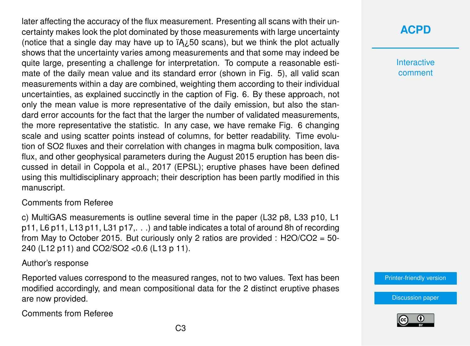later affecting the accuracy of the flux measurement. Presenting all scans with their uncertainty makes look the plot dominated by those measurements with large uncertainty (notice that a single day may have up to  $iA_{\lambda}$  50 scans), but we think the plot actually shows that the uncertainty varies among measurements and that some may indeed be quite large, presenting a challenge for interpretation. To compute a reasonable estimate of the daily mean value and its standard error (shown in Fig. 5), all valid scan measurements within a day are combined, weighting them according to their individual uncertainties, as explained succinctly in the caption of Fig. 6. By these approach, not only the mean value is more representative of the daily emission, but also the standard error accounts for the fact that the larger the number of validated measurements, the more representative the statistic. In any case, we have remake Fig. 6 changing scale and using scatter points instead of columns, for better readability. Time evolution of SO2 fluxes and their correlation with changes in magma bulk composition, lava flux, and other geophysical parameters during the August 2015 eruption has been discussed in detail in Coppola et al., 2017 (EPSL); eruptive phases have been defined using this multidisciplinary approach; their description has been partly modified in this manuscript.

### Comments from Referee

c) MultiGAS measurements is outline several time in the paper (L32 p8, L33 p10, L1 p11, L6 p11, L13 p11, L31 p17,. . .) and table indicates a total of around 8h of recording from May to October 2015. But curiously only 2 ratios are provided :  $H2O/CO2 = 50$ 240 (L12 p11) and CO2/SO2 <0.6 (L13 p 11).

### Author's response

Reported values correspond to the measured ranges, not to two values. Text has been modified accordingly, and mean compositional data for the 2 distinct eruptive phases are now provided.

Comments from Referee

# **[ACPD](http://www.atmos-chem-phys-discuss.net/)**

**Interactive** comment

[Printer-friendly version](http://www.atmos-chem-phys-discuss.net/acp-2016-865/acp-2016-865-AC1-print.pdf)

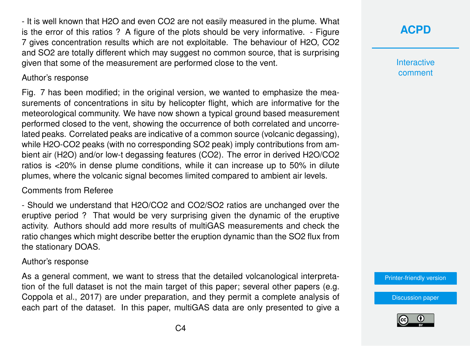- It is well known that H2O and even CO2 are not easily measured in the plume. What is the error of this ratios ? A figure of the plots should be very informative. - Figure 7 gives concentration results which are not exploitable. The behaviour of H2O, CO2 and SO2 are totally different which may suggest no common source, that is surprising given that some of the measurement are performed close to the vent.

#### Author's response

Fig. 7 has been modified; in the original version, we wanted to emphasize the measurements of concentrations in situ by helicopter flight, which are informative for the meteorological community. We have now shown a typical ground based measurement performed closed to the vent, showing the occurrence of both correlated and uncorrelated peaks. Correlated peaks are indicative of a common source (volcanic degassing), while H2O-CO2 peaks (with no corresponding SO2 peak) imply contributions from ambient air (H2O) and/or low-t degassing features (CO2). The error in derived H2O/CO2 ratios is <20% in dense plume conditions, while it can increase up to 50% in dilute plumes, where the volcanic signal becomes limited compared to ambient air levels.

### Comments from Referee

- Should we understand that H2O/CO2 and CO2/SO2 ratios are unchanged over the eruptive period ? That would be very surprising given the dynamic of the eruptive activity. Authors should add more results of multiGAS measurements and check the ratio changes which might describe better the eruption dynamic than the SO2 flux from the stationary DOAS.

### Author's response

As a general comment, we want to stress that the detailed volcanological interpretation of the full dataset is not the main target of this paper; several other papers (e.g. Coppola et al., 2017) are under preparation, and they permit a complete analysis of each part of the dataset. In this paper, multiGAS data are only presented to give a

# **[ACPD](http://www.atmos-chem-phys-discuss.net/)**

**Interactive** comment

[Printer-friendly version](http://www.atmos-chem-phys-discuss.net/acp-2016-865/acp-2016-865-AC1-print.pdf)

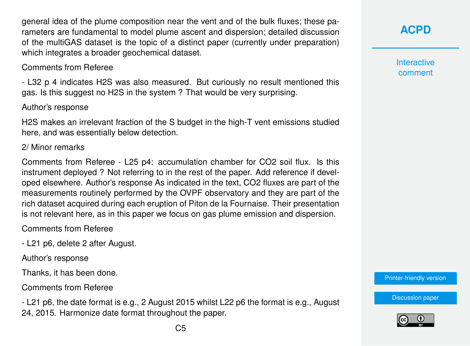general idea of the plume composition near the vent and of the bulk fluxes; these parameters are fundamental to model plume ascent and dispersion; detailed discussion of the multiGAS dataset is the topic of a distinct paper (currently under preparation) which integrates a broader geochemical dataset.

#### Comments from Referee

- L32 p 4 indicates H2S was also measured. But curiously no result mentioned this gas. Is this suggest no H2S in the system ? That would be very surprising.

#### Author's response

H2S makes an irrelevant fraction of the S budget in the high-T vent emissions studied here, and was essentially below detection.

#### 2/ Minor remarks

Comments from Referee - L25 p4: accumulation chamber for CO2 soil flux. Is this instrument deployed ? Not referring to in the rest of the paper. Add reference if developed elsewhere. Author's response As indicated in the text, CO2 fluxes are part of the measurements routinely performed by the OVPF observatory and they are part of the rich dataset acquired during each eruption of Piton de la Fournaise. Their presentation is not relevant here, as in this paper we focus on gas plume emission and dispersion.

#### Comments from Referee

- L21 p6, delete 2 after August.

Author's response

Thanks, it has been done.

Comments from Referee

- L21 p6, the date format is e.g., 2 August 2015 whilst L22 p6 the format is e.g., August 24, 2015. Harmonize date format throughout the paper.

**[ACPD](http://www.atmos-chem-phys-discuss.net/)**

**Interactive** comment

[Printer-friendly version](http://www.atmos-chem-phys-discuss.net/acp-2016-865/acp-2016-865-AC1-print.pdf)

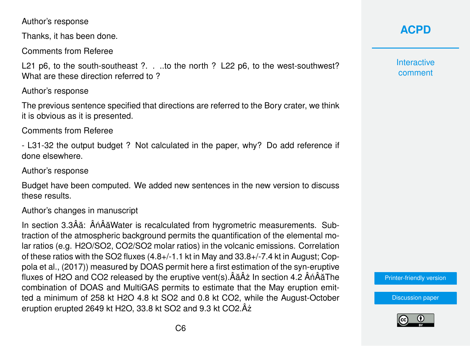Author's response

Thanks, it has been done.

Comments from Referee

L21 p6, to the south-southeast ?... to the north ? L22 p6, to the west-southwest? What are these direction referred to ?

Author's response

The previous sentence specified that directions are referred to the Bory crater, we think it is obvious as it is presented.

Comments from Referee

- L31-32 the output budget ? Not calculated in the paper, why? Do add reference if done elsewhere.

Author's response

Budget have been computed. We added new sentences in the new version to discuss these results.

Author's changes in manuscript

In section 3.3Âă: ÂnÂăWater is recalculated from hygrometric measurements. Subtraction of the atmospheric background permits the quantification of the elemental molar ratios (e.g. H2O/SO2, CO2/SO2 molar ratios) in the volcanic emissions. Correlation of these ratios with the SO2 fluxes (4.8+/-1.1 kt in May and 33.8+/-7.4 kt in August; Coppola et al., (2017)) measured by DOAS permit here a first estimation of the syn-eruptive fluxes of H2O and CO2 released by the eruptive vent(s). $\hat{A} \tilde{A} \hat{A} \tilde{A}$  In section 4.2  $\hat{A} \hat{n} \hat{A} \tilde{A}$ The combination of DOAS and MultiGAS permits to estimate that the May eruption emitted a minimum of 258 kt H2O 4.8 kt SO2 and 0.8 kt CO2, while the August-October eruption erupted 2649 kt H2O, 33.8 kt SO2 and 9.3 kt CO2.Âz˙

**[ACPD](http://www.atmos-chem-phys-discuss.net/)**

**Interactive** comment

[Printer-friendly version](http://www.atmos-chem-phys-discuss.net/acp-2016-865/acp-2016-865-AC1-print.pdf)

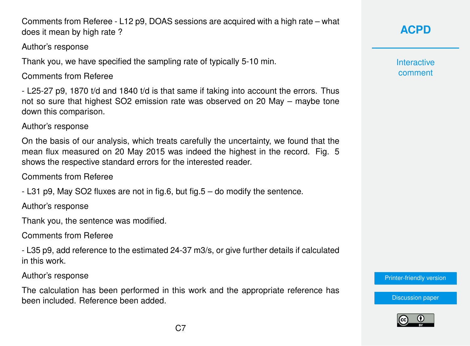Comments from Referee - L12 p9, DOAS sessions are acquired with a high rate – what does it mean by high rate ?

### Author's response

Thank you, we have specified the sampling rate of typically 5-10 min.

Comments from Referee

- L25-27 p9, 1870 t/d and 1840 t/d is that same if taking into account the errors. Thus not so sure that highest SO2 emission rate was observed on 20 May – maybe tone down this comparison.

Author's response

On the basis of our analysis, which treats carefully the uncertainty, we found that the mean flux measured on 20 May 2015 was indeed the highest in the record. Fig. 5 shows the respective standard errors for the interested reader.

Comments from Referee

- L31 p9, May SO2 fluxes are not in fig.6, but fig.5 – do modify the sentence.

Author's response

Thank you, the sentence was modified.

Comments from Referee

- L35 p9, add reference to the estimated 24-37 m3/s, or give further details if calculated in this work.

Author's response

The calculation has been performed in this work and the appropriate reference has been included. Reference been added.

**[ACPD](http://www.atmos-chem-phys-discuss.net/)**

**Interactive** comment

[Printer-friendly version](http://www.atmos-chem-phys-discuss.net/acp-2016-865/acp-2016-865-AC1-print.pdf)

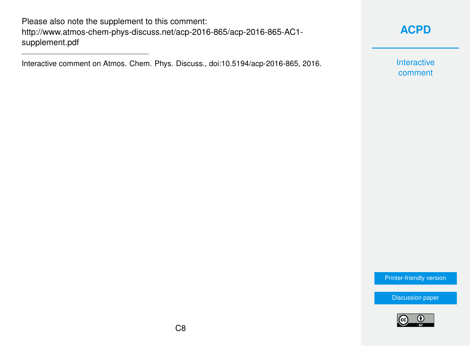Please also note the supplement to this comment: [http://www.atmos-chem-phys-discuss.net/acp-2016-865/acp-2016-865-AC1](http://www.atmos-chem-phys-discuss.net/acp-2016-865/acp-2016-865-AC1-supplement.pdf) [supplement.pdf](http://www.atmos-chem-phys-discuss.net/acp-2016-865/acp-2016-865-AC1-supplement.pdf)

Interactive comment on Atmos. Chem. Phys. Discuss., doi:10.5194/acp-2016-865, 2016.

# **[ACPD](http://www.atmos-chem-phys-discuss.net/)**

Interactive comment

[Printer-friendly version](http://www.atmos-chem-phys-discuss.net/acp-2016-865/acp-2016-865-AC1-print.pdf)